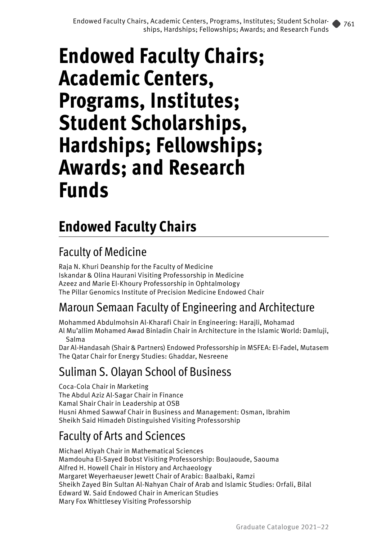## **Endowed Faculty Chairs**

## Faculty of Medicine

Raja N. Khuri Deanship for the Faculty of Medicine Iskandar & Olina Haurani Visiting Professorship in Medicine Azeez and Marie El-Khoury Professorship in Ophtalmology The Pillar Genomics Institute of Precision Medicine Endowed Chair

#### Maroun Semaan Faculty of Engineering and Architecture

Mohammed Abdulmohsin Al-Kharafi Chair in Engineering: Harajli, Mohamad Al Mu'allim Mohamed Awad Binladin Chair in Architecture in the Islamic World: Damluji, Salma

Dar Al-Handasah (Shair & Partners) Endowed Professorship in MSFEA: El-Fadel, Mutasem The Qatar Chair for Energy Studies: Ghaddar, Nesreene

#### Suliman S. Olayan School of Business

Coca-Cola Chair in Marketing The Abdul Aziz Al-Sagar Chair in Finance Kamal Shair Chair in Leadership at OSB Husni Ahmed Sawwaf Chair in Business and Management: Osman, Ibrahim Sheikh Said Himadeh Distinguished Visiting Professorship

#### Faculty of Arts and Sciences

Michael Atiyah Chair in Mathematical Sciences Mamdouha El-Sayed Bobst Visiting Professorship: BouJaoude, Saouma Alfred H. Howell Chair in History and Archaeology Margaret Weyerhaeuser Jewett Chair of Arabic: Baalbaki, Ramzi Sheikh Zayed Bin Sultan Al-Nahyan Chair of Arab and Islamic Studies: Orfali, Bilal Edward W. Said Endowed Chair in American Studies Mary Fox Whittlesey Visiting Professorship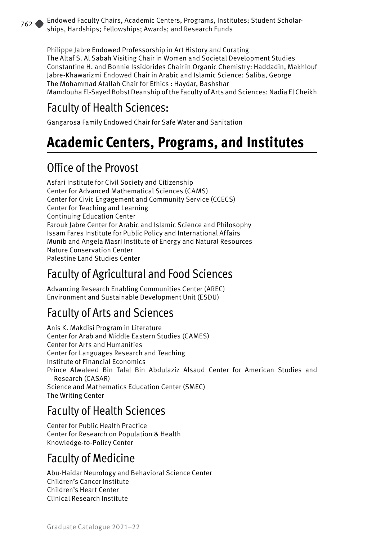Philippe Jabre Endowed Professorship in Art History and Curating The Altaf S. Al Sabah Visiting Chair in Women and Societal Development Studies Constantine H. and Bonnie Issidorides Chair in Organic Chemistry: Haddadin, Makhlouf Jabre-Khawarizmi Endowed Chair in Arabic and Islamic Science: Saliba, George The Mohammad Atallah Chair for Ethics : Haydar, Bashshar Mamdouha El-Sayed Bobst Deanship of the Faculty of Arts and Sciences: Nadia El Cheikh

#### Faculty of Health Sciences:

Gangarosa Family Endowed Chair for Safe Water and Sanitation

## **Academic Centers, Programs, and Institutes**

#### Office of the Provost

Asfari Institute for Civil Society and Citizenship Center for Advanced Mathematical Sciences (CAMS) Center for Civic Engagement and Community Service (CCECS) Center for Teaching and Learning Continuing Education Center Farouk Jabre Center for Arabic and Islamic Science and Philosophy Issam Fares Institute for Public Policy and International Affairs Munib and Angela Masri Institute of Energy and Natural Resources Nature Conservation Center Palestine Land Studies Center

## Faculty of Agricultural and Food Sciences

Advancing Research Enabling Communities Center (AREC) Environment and Sustainable Development Unit (ESDU)

### Faculty of Arts and Sciences

Anis K. Makdisi Program in Literature Center for Arab and Middle Eastern Studies (CAMES) Center for Arts and Humanities Center for Languages Research and Teaching Institute of Financial Economics Prince Alwaleed Bin Talal Bin Abdulaziz Alsaud Center for American Studies and Research (CASAR) Science and Mathematics Education Center (SMEC) The Writing Center

#### Faculty of Health Sciences

Center for Public Health Practice Center for Research on Population & Health Knowledge-to-Policy Center

### Faculty of Medicine

Abu-Haidar Neurology and Behavioral Science Center Children's Cancer Institute Children's Heart Center Clinical Research Institute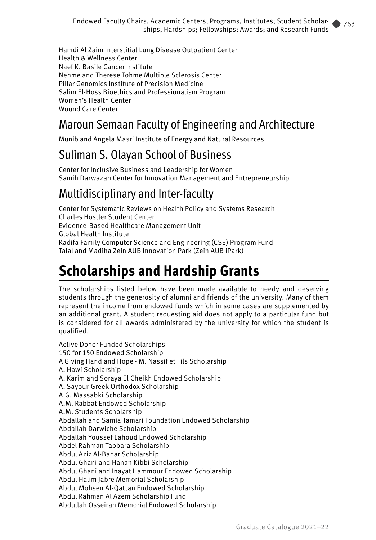Hamdi Al Zaim Interstitial Lung Disease Outpatient Center Health & Wellness Center Naef K. Basile Cancer Institute Nehme and Therese Tohme Multiple Sclerosis Center Pillar Genomics Institute of Precision Medicine Salim El-Hoss Bioethics and Professionalism Program Women's Health Center Wound Care Center

#### Maroun Semaan Faculty of Engineering and Architecture

Munib and Angela Masri Institute of Energy and Natural Resources

#### Suliman S. Olayan School of Business

Center for Inclusive Business and Leadership for Women Samih Darwazah Center for Innovation Management and Entrepreneurship

### Multidisciplinary and Inter-faculty

Center for Systematic Reviews on Health Policy and Systems Research Charles Hostler Student Center Evidence-Based Healthcare Management Unit Global Health Institute Kadifa Family Computer Science and Engineering (CSE) Program Fund Talal and Madiha Zein AUB Innovation Park (Zein AUB iPark)

## **Scholarships and Hardship Grants**

The scholarships listed below have been made available to needy and deserving students through the generosity of alumni and friends of the university. Many of them represent the income from endowed funds which in some cases are supplemented by an additional grant. A student requesting aid does not apply to a particular fund but is considered for all awards administered by the university for which the student is qualified.

Active Donor Funded Scholarships 150 for 150 Endowed Scholarship A Giving Hand and Hope - M. Nassif et Fils Scholarship A. Hawi Scholarship A. Karim and Soraya El Cheikh Endowed Scholarship A. Sayour-Greek Orthodox Scholarship A.G. Massabki Scholarship A.M. Rabbat Endowed Scholarship A.M. Students Scholarship Abdallah and Samia Tamari Foundation Endowed Scholarship Abdallah Darwiche Scholarship Abdallah Youssef Lahoud Endowed Scholarship Abdel Rahman Tabbara Scholarship Abdul Aziz Al-Bahar Scholarship Abdul Ghani and Hanan Kibbi Scholarship Abdul Ghani and Inayat Hammour Endowed Scholarship Abdul Halim Jabre Memorial Scholarship Abdul Mohsen Al-Qattan Endowed Scholarship Abdul Rahman Al Azem Scholarship Fund Abdullah Osseiran Memorial Endowed Scholarship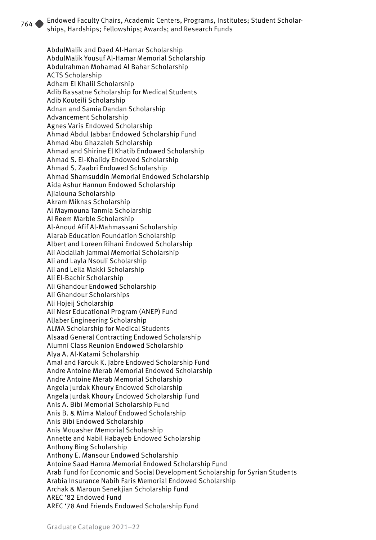AbdulMalik and Daed Al-Hamar Scholarship AbdulMalik Yousuf Al-Hamar Memorial Scholarship Abdulrahman Mohamad Al Bahar Scholarship ACTS Scholarship Adham El Khalil Scholarship Adib Bassatne Scholarship for Medical Students Adib Kouteili Scholarship Adnan and Samia Dandan Scholarship Advancement Scholarship Agnes Varis Endowed Scholarship Ahmad Abdul Jabbar Endowed Scholarship Fund Ahmad Abu Ghazaleh Scholarship Ahmad and Shirine El Khatib Endowed Scholarship Ahmad S. El-Khalidy Endowed Scholarship Ahmad S. Zaabri Endowed Scholarship Ahmad Shamsuddin Memorial Endowed Scholarship Aida Ashur Hannun Endowed Scholarship Ajialouna Scholarship Akram Miknas Scholarship Al Maymouna Tanmia Scholarship Al Reem Marble Scholarship Al-Anoud Afif Al-Mahmassani Scholarship Alarab Education Foundation Scholarship Albert and Loreen Rihani Endowed Scholarship Ali Abdallah Jammal Memorial Scholarship Ali and Layla Nsouli Scholarship Ali and Leila Makki Scholarship Ali El-Bachir Scholarship Ali Ghandour Endowed Scholarship Ali Ghandour Scholarships Ali Hojeij Scholarship Ali Nesr Educational Program (ANEP) Fund AlJaber Engineering Scholarship ALMA Scholarship for Medical Students Alsaad General Contracting Endowed Scholarship Alumni Class Reunion Endowed Scholarship Alya A. Al-Katami Scholarship Amal and Farouk K. Jabre Endowed Scholarship Fund Andre Antoine Merab Memorial Endowed Scholarship Andre Antoine Merab Memorial Scholarship Angela Jurdak Khoury Endowed Scholarship Angela Jurdak Khoury Endowed Scholarship Fund Anis A. Bibi Memorial Scholarship Fund Anis B. & Mima Malouf Endowed Scholarship Anis Bibi Endowed Scholarship Anis Mouasher Memorial Scholarship Annette and Nabil Habayeb Endowed Scholarship Anthony Bing Scholarship Anthony E. Mansour Endowed Scholarship Antoine Saad Hamra Memorial Endowed Scholarship Fund Arab Fund for Economic and Social Development Scholarship for Syrian Students Arabia Insurance Nabih Faris Memorial Endowed Scholarship Archak & Maroun Senekjian Scholarship Fund AREC '82 Endowed Fund AREC '78 And Friends Endowed Scholarship Fund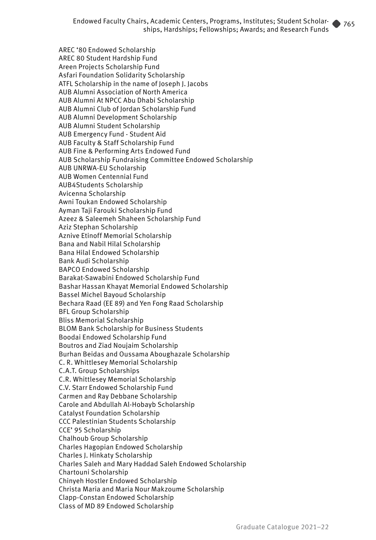AREC '80 Endowed Scholarship AREC 80 Student Hardship Fund Areen Projects Scholarship Fund Asfari Foundation Solidarity Scholarship ATFL Scholarship in the name of Joseph J. Jacobs AUB Alumni Association of North America AUB Alumni At NPCC Abu Dhabi Scholarship AUB Alumni Club of Jordan Scholarship Fund AUB Alumni Development Scholarship AUB Alumni Student Scholarship AUB Emergency Fund - Student Aid AUB Faculty & Staff Scholarship Fund AUB Fine & Performing Arts Endowed Fund AUB Scholarship Fundraising Committee Endowed Scholarship AUB UNRWA-EU Scholarship AUB Women Centennial Fund AUB4Students Scholarship Avicenna Scholarship Awni Toukan Endowed Scholarship Ayman Taji Farouki Scholarship Fund Azeez & Saleemeh Shaheen Scholarship Fund Aziz Stephan Scholarship Aznive Etinoff Memorial Scholarship Bana and Nabil Hilal Scholarship Bana Hilal Endowed Scholarship Bank Audi Scholarship BAPCO Endowed Scholarship Barakat-Sawabini Endowed Scholarship Fund Bashar Hassan Khayat Memorial Endowed Scholarship Bassel Michel Bayoud Scholarship Bechara Raad (EE 89) and Yen Fong Raad Scholarship BFL Group Scholarship Bliss Memorial Scholarship BLOM Bank Scholarship for Business Students Boodai Endowed Scholarship Fund Boutros and Ziad Noujaim Scholarship Burhan Beidas and Oussama Aboughazale Scholarship C. R. Whittlesey Memorial Scholarship C.A.T. Group Scholarships C.R. Whittlesey Memorial Scholarship C.V. Starr Endowed Scholarship Fund Carmen and Ray Debbane Scholarship Carole and Abdullah Al-Hobayb Scholarship Catalyst Foundation Scholarship CCC Palestinian Students Scholarship CCE' 95 Scholarship Chalhoub Group Scholarship Charles Hagopian Endowed Scholarship Charles J. Hinkaty Scholarship Charles Saleh and Mary Haddad Saleh Endowed Scholarship Chartouni Scholarship Chinyeh Hostler Endowed Scholarship Christa Maria and Maria Nour Makzoume Scholarship Clapp-Constan Endowed Scholarship

Class of MD 89 Endowed Scholarship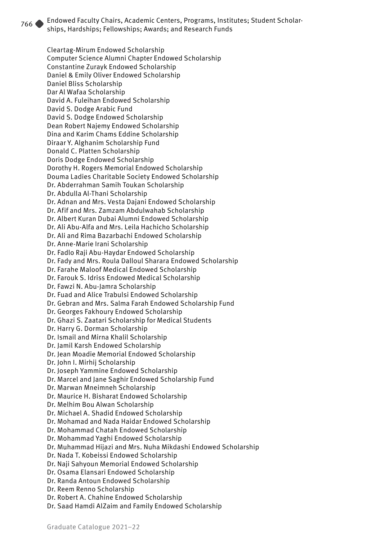Cleartag-Mirum Endowed Scholarship Computer Science Alumni Chapter Endowed Scholarship Constantine Zurayk Endowed Scholarship Daniel & Emily Oliver Endowed Scholarship Daniel Bliss Scholarship Dar Al Wafaa Scholarship David A. Fuleihan Endowed Scholarship David S. Dodge Arabic Fund David S. Dodge Endowed Scholarship Dean Robert Najemy Endowed Scholarship Dina and Karim Chams Eddine Scholarship Diraar Y. Alghanim Scholarship Fund Donald C. Platten Scholarship Doris Dodge Endowed Scholarship Dorothy H. Rogers Memorial Endowed Scholarship Douma Ladies Charitable Society Endowed Scholarship Dr. Abderrahman Samih Toukan Scholarship Dr. Abdulla Al-Thani Scholarship Dr. Adnan and Mrs. Vesta Dajani Endowed Scholarship Dr. Afif and Mrs. Zamzam Abdulwahab Scholarship Dr. Albert Kuran Dubai Alumni Endowed Scholarship Dr. Ali Abu-Alfa and Mrs. Leila Hachicho Scholarship Dr. Ali and Rima Bazarbachi Endowed Scholarship Dr. Anne-Marie Irani Scholarship Dr. Fadlo Raji Abu-Haydar Endowed Scholarship Dr. Fady and Mrs. Roula Dalloul Sharara Endowed Scholarship Dr. Farahe Maloof Medical Endowed Scholarship Dr. Farouk S. Idriss Endowed Medical Scholarship Dr. Fawzi N. Abu-Jamra Scholarship Dr. Fuad and Alice Trabulsi Endowed Scholarship Dr. Gebran and Mrs. Salma Farah Endowed Scholarship Fund Dr. Georges Fakhoury Endowed Scholarship Dr. Ghazi S. Zaatari Scholarship for Medical Students Dr. Harry G. Dorman Scholarship Dr. Ismail and Mirna Khalil Scholarship Dr. Jamil Karsh Endowed Scholarship Dr. Jean Moadie Memorial Endowed Scholarship Dr. John I. Mirhij Scholarship Dr. Joseph Yammine Endowed Scholarship Dr. Marcel and Jane Saghir Endowed Scholarship Fund Dr. Marwan Mneimneh Scholarship Dr. Maurice H. Bisharat Endowed Scholarship Dr. Melhim Bou Alwan Scholarship Dr. Michael A. Shadid Endowed Scholarship Dr. Mohamad and Nada Haidar Endowed Scholarship Dr. Mohammad Chatah Endowed Scholarship Dr. Mohammad Yaghi Endowed Scholarship Dr. Muhammad Hijazi and Mrs. Nuha Mikdashi Endowed Scholarship Dr. Nada T. Kobeissi Endowed Scholarship Dr. Naji Sahyoun Memorial Endowed Scholarship Dr. Osama Elansari Endowed Scholarship Dr. Randa Antoun Endowed Scholarship Dr. Reem Renno Scholarship Dr. Robert A. Chahine Endowed Scholarship Dr. Saad Hamdi AlZaim and Family Endowed Scholarship

Graduate Catalogue 2021–22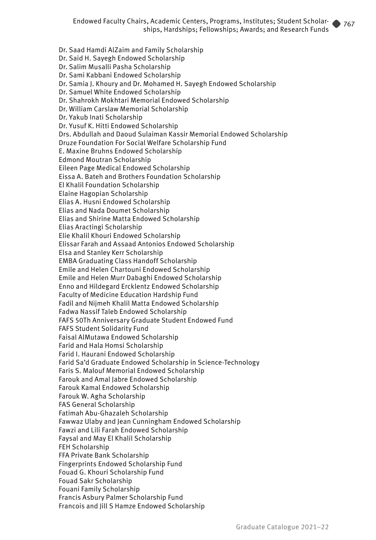Dr. Saad Hamdi AlZaim and Family Scholarship Dr. Said H. Sayegh Endowed Scholarship Dr. Salim Musalli Pasha Scholarship Dr. Sami Kabbani Endowed Scholarship Dr. Samia J. Khoury and Dr. Mohamed H. Sayegh Endowed Scholarship Dr. Samuel White Endowed Scholarship Dr. Shahrokh Mokhtari Memorial Endowed Scholarship Dr. William Carslaw Memorial Scholarship Dr. Yakub Inati Scholarship Dr. Yusuf K. Hitti Endowed Scholarship Drs. Abdullah and Daoud Sulaiman Kassir Memorial Endowed Scholarship Druze Foundation For Social Welfare Scholarship Fund E. Maxine Bruhns Endowed Scholarship Edmond Moutran Scholarship Eileen Page Medical Endowed Scholarship Eissa A. Bateh and Brothers Foundation Scholarship El Khalil Foundation Scholarship Elaine Hagopian Scholarship Elias A. Husni Endowed Scholarship Elias and Nada Doumet Scholarship Elias and Shirine Matta Endowed Scholarship Elias Aractingi Scholarship Elie Khalil Khouri Endowed Scholarship Elissar Farah and Assaad Antonios Endowed Scholarship Elsa and Stanley Kerr Scholarship EMBA Graduating Class Handoff Scholarship Emile and Helen Chartouni Endowed Scholarship Emile and Helen Murr Dabaghi Endowed Scholarship Enno and Hildegard Ercklentz Endowed Scholarship Faculty of Medicine Education Hardship Fund Fadil and Nijmeh Khalil Matta Endowed Scholarship Fadwa Nassif Taleb Endowed Scholarship FAFS 50Th Anniversary Graduate Student Endowed Fund FAFS Student Solidarity Fund Faisal AlMutawa Endowed Scholarship Farid and Hala Homsi Scholarship Farid I. Haurani Endowed Scholarship Farid Sa'd Graduate Endowed Scholarship in Science-Technology Faris S. Malouf Memorial Endowed Scholarship Farouk and Amal Jabre Endowed Scholarship Farouk Kamal Endowed Scholarship Farouk W. Agha Scholarship FAS General Scholarship Fatimah Abu-Ghazaleh Scholarship Fawwaz Ulaby and Jean Cunningham Endowed Scholarship Fawzi and Lili Farah Endowed Scholarship Faysal and May El Khalil Scholarship FEH Scholarship FFA Private Bank Scholarship Fingerprints Endowed Scholarship Fund Fouad G. Khouri Scholarship Fund Fouad Sakr Scholarship Fouani Family Scholarship Francis Asbury Palmer Scholarship Fund Francois and Jill S Hamze Endowed Scholarship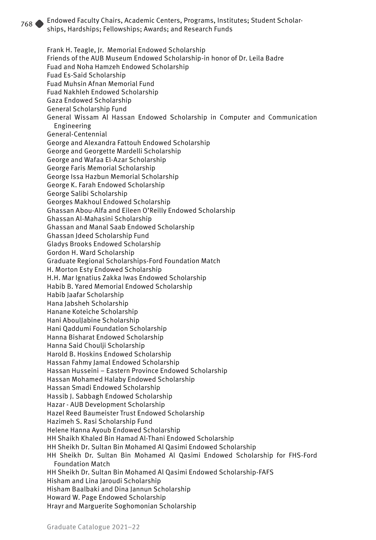Frank H. Teagle, Jr. Memorial Endowed Scholarship Friends of the AUB Museum Endowed Scholarship-in honor of Dr. Leila Badre Fuad and Noha Hamzeh Endowed Scholarship Fuad Es-Said Scholarship Fuad Muhsin Afnan Memorial Fund Fuad Nakhleh Endowed Scholarship Gaza Endowed Scholarship General Scholarship Fund General Wissam Al Hassan Endowed Scholarship in Computer and Communication Engineering General-Centennial George and Alexandra Fattouh Endowed Scholarship George and Georgette Mardelli Scholarship George and Wafaa El-Azar Scholarship George Faris Memorial Scholarship George Issa Hazbun Memorial Scholarship George K. Farah Endowed Scholarship George Salibi Scholarship Georges Makhoul Endowed Scholarship Ghassan Abou-Alfa and Eileen O'Reilly Endowed Scholarship Ghassan Al-Mahasini Scholarship Ghassan and Manal Saab Endowed Scholarship Ghassan Jdeed Scholarship Fund Gladys Brooks Endowed Scholarship Gordon H. Ward Scholarship Graduate Regional Scholarships-Ford Foundation Match H. Morton Esty Endowed Scholarship H.H. Mar Ignatius Zakka Iwas Endowed Scholarship Habib B. Yared Memorial Endowed Scholarship Habib Jaafar Scholarship Hana Jabsheh Scholarship Hanane Koteiche Scholarship Hani AboulJabine Scholarship Hani Qaddumi Foundation Scholarship Hanna Bisharat Endowed Scholarship Hanna Said Choulji Scholarship Harold B. Hoskins Endowed Scholarship Hassan Fahmy Jamal Endowed Scholarship Hassan Husseini – Eastern Province Endowed Scholarship Hassan Mohamed Halaby Endowed Scholarship Hassan Smadi Endowed Scholarship Hassib J. Sabbagh Endowed Scholarship Hazar - AUB Development Scholarship Hazel Reed Baumeister Trust Endowed Scholarship Hazimeh S. Rasi Scholarship Fund Helene Hanna Ayoub Endowed Scholarship HH Shaikh Khaled Bin Hamad Al-Thani Endowed Scholarship HH Sheikh Dr. Sultan Bin Mohamed Al Qasimi Endowed Scholarship HH Sheikh Dr. Sultan Bin Mohamed Al Qasimi Endowed Scholarship for FHS-Ford Foundation Match HH Sheikh Dr. Sultan Bin Mohamed Al Qasimi Endowed Scholarship-FAFS Hisham and Lina Jaroudi Scholarship Hisham Baalbaki and Dina Jannun Scholarship Howard W. Page Endowed Scholarship Hrayr and Marguerite Soghomonian Scholarship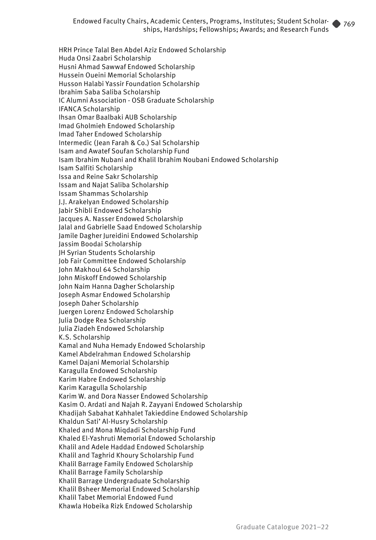HRH Prince Talal Ben Abdel Aziz Endowed Scholarship Huda Onsi Zaabri Scholarship Husni Ahmad Sawwaf Endowed Scholarship Hussein Oueini Memorial Scholarship Husson Halabi Yassir Foundation Scholarship Ibrahim Saba Saliba Scholarship IC Alumni Association - OSB Graduate Scholarship IFANCA Scholarship Ihsan Omar Baalbaki AUB Scholarship Imad Gholmieh Endowed Scholarship Imad Taher Endowed Scholarship Intermedic (Jean Farah & Co.) Sal Scholarship Isam and Awatef Soufan Scholarship Fund Isam Ibrahim Nubani and Khalil Ibrahim Noubani Endowed Scholarship Isam Salfiti Scholarship Issa and Reine Sakr Scholarship Issam and Najat Saliba Scholarship Issam Shammas Scholarship J.J. Arakelyan Endowed Scholarship Jabir Shibli Endowed Scholarship Jacques A. Nasser Endowed Scholarship Jalal and Gabrielle Saad Endowed Scholarship Jamile Dagher Jureidini Endowed Scholarship Jassim Boodai Scholarship JH Syrian Students Scholarship Job Fair Committee Endowed Scholarship John Makhoul 64 Scholarship John Miskoff Endowed Scholarship John Naim Hanna Dagher Scholarship Joseph Asmar Endowed Scholarship Joseph Daher Scholarship Juergen Lorenz Endowed Scholarship Julia Dodge Rea Scholarship Julia Ziadeh Endowed Scholarship K.S. Scholarship Kamal and Nuha Hemady Endowed Scholarship Kamel Abdelrahman Endowed Scholarship Kamel Dajani Memorial Scholarship Karagulla Endowed Scholarship Karim Habre Endowed Scholarship Karim Karagulla Scholarship Karim W. and Dora Nasser Endowed Scholarship Kasim O. Ardati and Najah R. Zayyani Endowed Scholarship Khadijah Sabahat Kahhalet Takieddine Endowed Scholarship Khaldun Sati' Al-Husry Scholarship Khaled and Mona Miqdadi Scholarship Fund Khaled El-Yashruti Memorial Endowed Scholarship Khalil and Adele Haddad Endowed Scholarship Khalil and Taghrid Khoury Scholarship Fund Khalil Barrage Family Endowed Scholarship Khalil Barrage Family Scholarship Khalil Barrage Undergraduate Scholarship Khalil Bsheer Memorial Endowed Scholarship Khalil Tabet Memorial Endowed Fund Khawla Hobeika Rizk Endowed Scholarship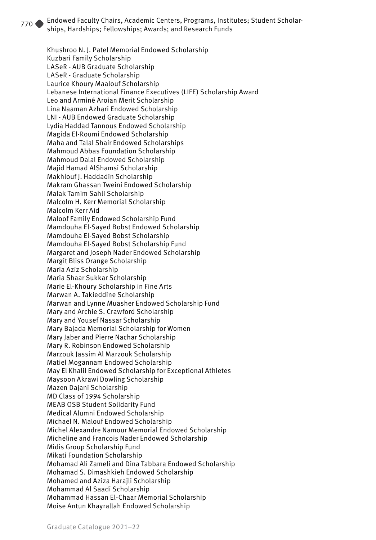Khushroo N. J. Patel Memorial Endowed Scholarship Kuzbari Family Scholarship LASeR - AUB Graduate Scholarship LASeR - Graduate Scholarship Laurice Khoury Maalouf Scholarship Lebanese International Finance Executives (LIFE) Scholarship Award Leo and Arminé Aroian Merit Scholarship Lina Naaman Azhari Endowed Scholarship LNI - AUB Endowed Graduate Scholarship Lydia Haddad Tannous Endowed Scholarship Magida El-Roumi Endowed Scholarship Maha and Talal Shair Endowed Scholarships Mahmoud Abbas Foundation Scholarship Mahmoud Dalal Endowed Scholarship Majid Hamad AlShamsi Scholarship Makhlouf J. Haddadin Scholarship Makram Ghassan Tweini Endowed Scholarship Malak Tamim Sahli Scholarship Malcolm H. Kerr Memorial Scholarship Malcolm Kerr Aid Maloof Family Endowed Scholarship Fund Mamdouha El-Sayed Bobst Endowed Scholarship Mamdouha El-Sayed Bobst Scholarship Mamdouha El-Sayed Bobst Scholarship Fund Margaret and Joseph Nader Endowed Scholarship Margit Bliss Orange Scholarship Maria Aziz Scholarship Maria Shaar Sukkar Scholarship Marie El-Khoury Scholarship in Fine Arts Marwan A. Takieddine Scholarship Marwan and Lynne Muasher Endowed Scholarship Fund Mary and Archie S. Crawford Scholarship Mary and Yousef Nassar Scholarship Mary Bajada Memorial Scholarship for Women Mary Jaber and Pierre Nachar Scholarship Mary R. Robinson Endowed Scholarship Marzouk Jassim Al Marzouk Scholarship Matiel Mogannam Endowed Scholarship May El Khalil Endowed Scholarship for Exceptional Athletes Maysoon Akrawi Dowling Scholarship Mazen Dajani Scholarship MD Class of 1994 Scholarship MEAB OSB Student Solidarity Fund Medical Alumni Endowed Scholarship Michael N. Malouf Endowed Scholarship Michel Alexandre Namour Memorial Endowed Scholarship Micheline and Francois Nader Endowed Scholarship Midis Group Scholarship Fund Mikati Foundation Scholarship Mohamad Ali Zameli and Dina Tabbara Endowed Scholarship Mohamad S. Dimashkieh Endowed Scholarship Mohamed and Aziza Harajli Scholarship Mohammad Al Saadi Scholarship Mohammad Hassan El-Chaar Memorial Scholarship Moise Antun Khayrallah Endowed Scholarship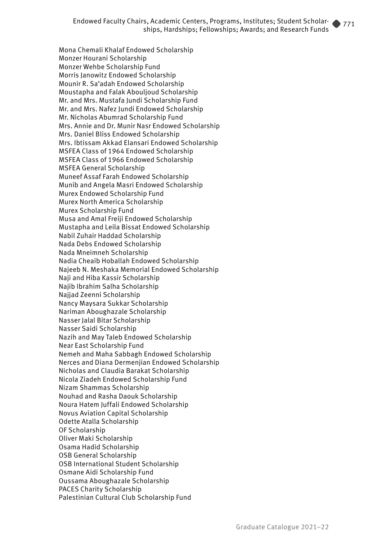Mona Chemali Khalaf Endowed Scholarship Monzer Hourani Scholarship Monzer Wehbe Scholarship Fund Morris Janowitz Endowed Scholarship Mounir R. Sa'adah Endowed Scholarship Moustapha and Falak Abouljoud Scholarship Mr. and Mrs. Mustafa Jundi Scholarship Fund Mr. and Mrs. Nafez Jundi Endowed Scholarship Mr. Nicholas Abumrad Scholarship Fund Mrs. Annie and Dr. Munir Nasr Endowed Scholarship Mrs. Daniel Bliss Endowed Scholarship Mrs. Ibtissam Akkad Elansari Endowed Scholarship MSFEA Class of 1964 Endowed Scholarship MSFEA Class of 1966 Endowed Scholarship MSFEA General Scholarship Muneef Assaf Farah Endowed Scholarship Munib and Angela Masri Endowed Scholarship Murex Endowed Scholarship Fund Murex North America Scholarship Murex Scholarship Fund Musa and Amal Freiji Endowed Scholarship Mustapha and Leila Bissat Endowed Scholarship Nabil Zuhair Haddad Scholarship Nada Debs Endowed Scholarship Nada Mneimneh Scholarship Nadia Cheaib Hoballah Endowed Scholarship Najeeb N. Meshaka Memorial Endowed Scholarship Naji and Hiba Kassir Scholarship Najib Ibrahim Salha Scholarship Najjad Zeenni Scholarship Nancy Maysara Sukkar Scholarship Nariman Aboughazale Scholarship Nasser Jalal Bitar Scholarship Nasser Saidi Scholarship Nazih and May Taleb Endowed Scholarship Near East Scholarship Fund Nemeh and Maha Sabbagh Endowed Scholarship Nerces and Diana Dermenjian Endowed Scholarship Nicholas and Claudia Barakat Scholarship Nicola Ziadeh Endowed Scholarship Fund Nizam Shammas Scholarship Nouhad and Rasha Daouk Scholarship Noura Hatem Juffali Endowed Scholarship Novus Aviation Capital Scholarship Odette Atalla Scholarship OF Scholarship Oliver Maki Scholarship Osama Hadid Scholarship OSB General Scholarship OSB International Student Scholarship Osmane Aidi Scholarship Fund Oussama Aboughazale Scholarship PACES Charity Scholarship Palestinian Cultural Club Scholarship Fund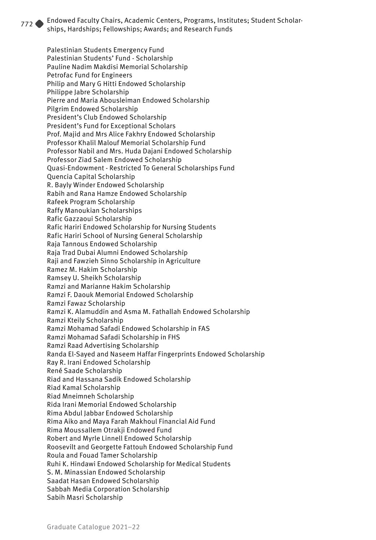Palestinian Students Emergency Fund Palestinian Students' Fund - Scholarship Pauline Nadim Makdisi Memorial Scholarship Petrofac Fund for Engineers Philip and Mary G Hitti Endowed Scholarship Philippe Jabre Scholarship Pierre and Maria Abousleiman Endowed Scholarship Pilgrim Endowed Scholarship President's Club Endowed Scholarship President's Fund for Exceptional Scholars Prof. Majid and Mrs Alice Fakhry Endowed Scholarship Professor Khalil Malouf Memorial Scholarship Fund Professor Nabil and Mrs. Huda Dajani Endowed Scholarship Professor Ziad Salem Endowed Scholarship Quasi-Endowment - Restricted To General Scholarships Fund Quencia Capital Scholarship R. Bayly Winder Endowed Scholarship Rabih and Rana Hamze Endowed Scholarship Rafeek Program Scholarship Raffy Manoukian Scholarships Rafic Gazzaoui Scholarship Rafic Hariri Endowed Scholarship for Nursing Students Rafic Hariri School of Nursing General Scholarship Raja Tannous Endowed Scholarship Raja Trad Dubai Alumni Endowed Scholarship Raji and Fawzieh Sinno Scholarship in Agriculture Ramez M. Hakim Scholarship Ramsey U. Sheikh Scholarship Ramzi and Marianne Hakim Scholarship Ramzi F. Daouk Memorial Endowed Scholarship Ramzi Fawaz Scholarship Ramzi K. Alamuddin and Asma M. Fathallah Endowed Scholarship Ramzi Kteily Scholarship Ramzi Mohamad Safadi Endowed Scholarship in FAS Ramzi Mohamad Safadi Scholarship in FHS Ramzi Raad Advertising Scholarship Randa El-Sayed and Naseem Haffar Fingerprints Endowed Scholarship Ray R. Irani Endowed Scholarship René Saade Scholarship Riad and Hassana Sadik Endowed Scholarship Riad Kamal Scholarship Riad Mneimneh Scholarship Rida Irani Memorial Endowed Scholarship Rima Abdul Jabbar Endowed Scholarship Rima Aiko and Maya Farah Makhoul Financial Aid Fund Rima Moussallem Otrakji Endowed Fund Robert and Myrle Linnell Endowed Scholarship Roosevilt and Georgette Fattouh Endowed Scholarship Fund Roula and Fouad Tamer Scholarship Ruhi K. Hindawi Endowed Scholarship for Medical Students S. M. Minassian Endowed Scholarship Saadat Hasan Endowed Scholarship Sabbah Media Corporation Scholarship Sabih Masri Scholarship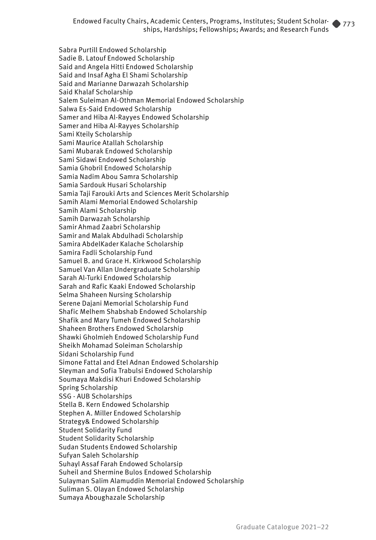Sabra Purtill Endowed Scholarship Sadie B. Latouf Endowed Scholarship Said and Angela Hitti Endowed Scholarship Said and Insaf Agha El Shami Scholarship Said and Marianne Darwazah Scholarship Said Khalaf Scholarship Salem Suleiman Al-Othman Memorial Endowed Scholarship Salwa Es-Said Endowed Scholarship Samer and Hiba Al-Rayyes Endowed Scholarship Samer and Hiba Al-Rayyes Scholarship Sami Kteily Scholarship Sami Maurice Atallah Scholarship Sami Mubarak Endowed Scholarship Sami Sidawi Endowed Scholarship Samia Ghobril Endowed Scholarship Samia Nadim Abou Samra Scholarship Samia Sardouk Husari Scholarship Samia Taji Farouki Arts and Sciences Merit Scholarship Samih Alami Memorial Endowed Scholarship Samih Alami Scholarship Samih Darwazah Scholarship Samir Ahmad Zaabri Scholarship Samir and Malak Abdulhadi Scholarship Samira AbdelKader Kalache Scholarship Samira Fadli Scholarship Fund Samuel B. and Grace H. Kirkwood Scholarship Samuel Van Allan Undergraduate Scholarship Sarah Al-Turki Endowed Scholarship Sarah and Rafic Kaaki Endowed Scholarship Selma Shaheen Nursing Scholarship Serene Dajani Memorial Scholarship Fund Shafic Melhem Shabshab Endowed Scholarship Shafik and Mary Tumeh Endowed Scholarship Shaheen Brothers Endowed Scholarship Shawki Gholmieh Endowed Scholarship Fund Sheikh Mohamad Soleiman Scholarship Sidani Scholarship Fund Simone Fattal and Etel Adnan Endowed Scholarship Sleyman and Sofia Trabulsi Endowed Scholarship Soumaya Makdisi Khuri Endowed Scholarship Spring Scholarship SSG - AUB Scholarships Stella B. Kern Endowed Scholarship Stephen A. Miller Endowed Scholarship Strategy& Endowed Scholarship Student Solidarity Fund Student Solidarity Scholarship Sudan Students Endowed Scholarship Sufyan Saleh Scholarship Suhayl Assaf Farah Endowed Scholarsip Suheil and Shermine Bulos Endowed Scholarship Sulayman Salim Alamuddin Memorial Endowed Scholarship Suliman S. Olayan Endowed Scholarship Sumaya Aboughazale Scholarship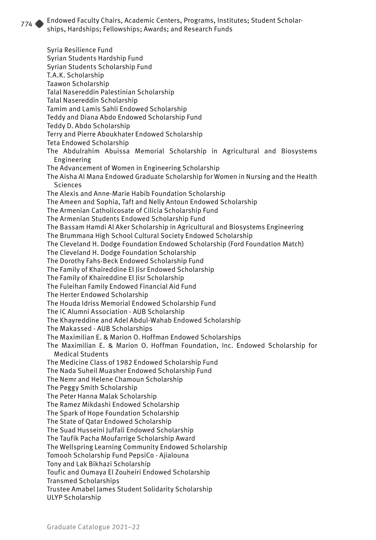Syria Resilience Fund Syrian Students Hardship Fund Syrian Students Scholarship Fund T.A.K. Scholarship Taawon Scholarship Talal Nasereddin Palestinian Scholarship Talal Nasereddin Scholarship Tamim and Lamis Sahli Endowed Scholarship Teddy and Diana Abdo Endowed Scholarship Fund Teddy D. Abdo Scholarship Terry and Pierre Aboukhater Endowed Scholarship Teta Endowed Scholarship The Abdulrahim Abuissa Memorial Scholarship in Agricultural and Biosystems Engineering The Advancement of Women in Engineering Scholarship The Aisha Al Mana Endowed Graduate Scholarship for Women in Nursing and the Health Sciences The Alexis and Anne-Marie Habib Foundation Scholarship The Ameen and Sophia, Taft and Nelly Antoun Endowed Scholarship The Armenian Catholicosate of Cilicia Scholarship Fund The Armenian Students Endowed Scholarship Fund The Bassam Hamdi Al Aker Scholarship in Agricultural and Biosystems Engineering The Brummana High School Cultural Society Endowed Scholarship The Cleveland H. Dodge Foundation Endowed Scholarship (Ford Foundation Match) The Cleveland H. Dodge Foundation Scholarship The Dorothy Fahs-Beck Endowed Scholarship Fund The Family of Khaireddine El Jisr Endowed Scholarship The Family of Khaireddine El Jisr Scholarship The Fuleihan Family Endowed Financial Aid Fund The Herter Endowed Scholarship The Houda Idriss Memorial Endowed Scholarship Fund The IC Alumni Association - AUB Scholarship The Khayreddine and Adel Abdul-Wahab Endowed Scholarship The Makassed - AUB Scholarships The Maximilian E. & Marion O. Hoffman Endowed Scholarships The Maximilian E. & Marion O. Hoffman Foundation, Inc. Endowed Scholarship for Medical Students The Medicine Class of 1982 Endowed Scholarship Fund The Nada Suheil Muasher Endowed Scholarship Fund The Nemr and Helene Chamoun Scholarship The Peggy Smith Scholarship The Peter Hanna Malak Scholarship The Ramez Mikdashi Endowed Scholarship The Spark of Hope Foundation Scholarship The State of Qatar Endowed Scholarship The Suad Husseini Juffali Endowed Scholarship The Taufik Pacha Moufarrige Scholarship Award The Wellspring Learning Community Endowed Scholarship Tomooh Scholarship Fund PepsiCo - Ajialouna Tony and Lak Bikhazi Scholarship Toufic and Oumaya El Zouheiri Endowed Scholarship Transmed Scholarships Trustee Amabel James Student Solidarity Scholarship ULYP Scholarship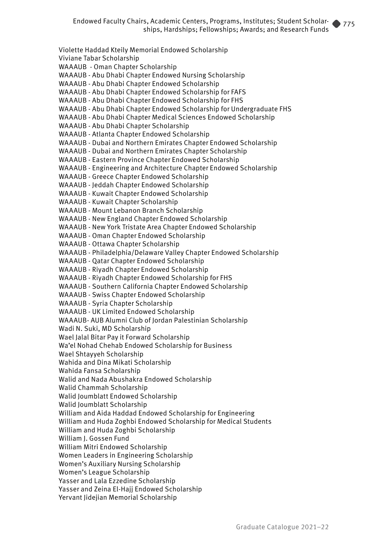Violette Haddad Kteily Memorial Endowed Scholarship Viviane Tabar Scholarship WAAAUB - Oman Chapter Scholarship WAAAUB - Abu Dhabi Chapter Endowed Nursing Scholarship WAAAUB - Abu Dhabi Chapter Endowed Scholarship WAAAUB - Abu Dhabi Chapter Endowed Scholarship for FAFS WAAAUB - Abu Dhabi Chapter Endowed Scholarship for FHS WAAAUB - Abu Dhabi Chapter Endowed Scholarship for Undergraduate FHS WAAAUB - Abu Dhabi Chapter Medical Sciences Endowed Scholarship WAAAUB - Abu Dhabi Chapter Scholarship WAAAUB - Atlanta Chapter Endowed Scholarship WAAAUB - Dubai and Northern Emirates Chapter Endowed Scholarship WAAAUB - Dubai and Northern Emirates Chapter Scholarship WAAAUB - Eastern Province Chapter Endowed Scholarship WAAAUB - Engineering and Architecture Chapter Endowed Scholarship WAAAUB - Greece Chapter Endowed Scholarship WAAAUB - Jeddah Chapter Endowed Scholarship WAAAUB - Kuwait Chapter Endowed Scholarship WAAAUB - Kuwait Chapter Scholarship WAAAUB - Mount Lebanon Branch Scholarship WAAAUB - New England Chapter Endowed Scholarship WAAAUB - New York Tristate Area Chapter Endowed Scholarship WAAAUB - Oman Chapter Endowed Scholarship WAAAUB - Ottawa Chapter Scholarship WAAAUB - Philadelphia/Delaware Valley Chapter Endowed Scholarship WAAAUB - Qatar Chapter Endowed Scholarship WAAAUB - Riyadh Chapter Endowed Scholarship WAAAUB - Riyadh Chapter Endowed Scholarship for FHS WAAAUB - Southern California Chapter Endowed Scholarship WAAAUB - Swiss Chapter Endowed Scholarship WAAAUB - Syria Chapter Scholarship WAAAUB - UK Limited Endowed Scholarship WAAAUB- AUB Alumni Club of Jordan Palestinian Scholarship Wadi N. Suki, MD Scholarship Wael Jalal Bitar Pay it Forward Scholarship Wa'el Nohad Chehab Endowed Scholarship for Business Wael Shtayyeh Scholarship Wahida and Dina Mikati Scholarship Wahida Fansa Scholarship Walid and Nada Abushakra Endowed Scholarship Walid Chammah Scholarship Walid Joumblatt Endowed Scholarship Walid Joumblatt Scholarship William and Aida Haddad Endowed Scholarship for Engineering William and Huda Zoghbi Endowed Scholarship for Medical Students William and Huda Zoghbi Scholarship William J. Gossen Fund William Mitri Endowed Scholarship Women Leaders in Engineering Scholarship Women's Auxiliary Nursing Scholarship Women's League Scholarship Yasser and Lala Ezzedine Scholarship Yasser and Zeina El-Hajj Endowed Scholarship Yervant Jidejian Memorial Scholarship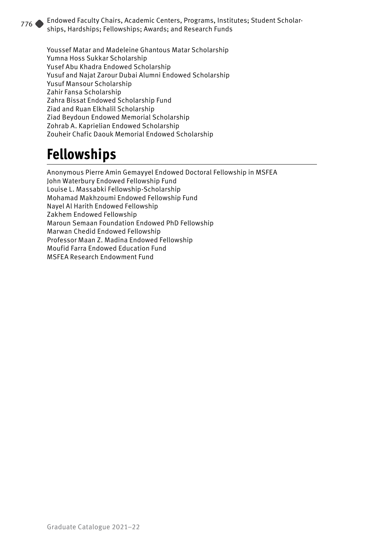Youssef Matar and Madeleine Ghantous Matar Scholarship Yumna Hoss Sukkar Scholarship Yusef Abu Khadra Endowed Scholarship Yusuf and Najat Zarour Dubai Alumni Endowed Scholarship Yusuf Mansour Scholarship Zahir Fansa Scholarship Zahra Bissat Endowed Scholarship Fund Ziad and Ruan Elkhalil Scholarship Ziad Beydoun Endowed Memorial Scholarship Zohrab A. Kaprielian Endowed Scholarship Zouheir Chafic Daouk Memorial Endowed Scholarship

## **Fellowships**

Anonymous Pierre Amin Gemayyel Endowed Doctoral Fellowship in MSFEA John Waterbury Endowed Fellowship Fund Louise L. Massabki Fellowship-Scholarship Mohamad Makhzoumi Endowed Fellowship Fund Nayel Al Harith Endowed Fellowship Zakhem Endowed Fellowship Maroun Semaan Foundation Endowed PhD Fellowship Marwan Chedid Endowed Fellowship Professor Maan Z. Madina Endowed Fellowship Moufid Farra Endowed Education Fund MSFEA Research Endowment Fund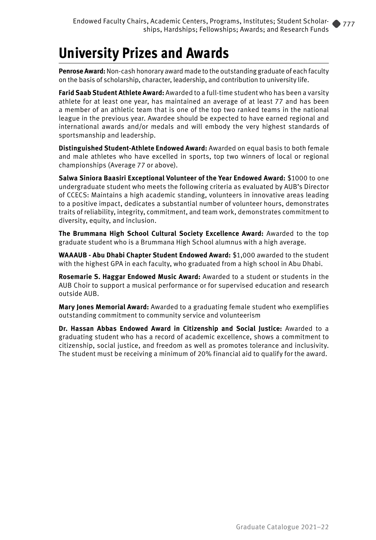## **University Prizes and Awards**

**Penrose Award:** Non-cash honorary award made to the outstanding graduate of each faculty on the basis of scholarship, character, leadership, and contribution to university life.

**Farid Saab Student Athlete Award:** Awarded to a full-time student who has been a varsity athlete for at least one year, has maintained an average of at least 77 and has been a member of an athletic team that is one of the top two ranked teams in the national league in the previous year. Awardee should be expected to have earned regional and international awards and/or medals and will embody the very highest standards of sportsmanship and leadership.

**Distinguished Student-Athlete Endowed Award:** Awarded on equal basis to both female and male athletes who have excelled in sports, top two winners of local or regional championships (Average 77 or above).

**Salwa Siniora Baasiri Exceptional Volunteer of the Year Endowed Award:** \$1000 to one undergraduate student who meets the following criteria as evaluated by AUB's Director of CCECS: Maintains a high academic standing, volunteers in innovative areas leading to a positive impact, dedicates a substantial number of volunteer hours, demonstrates traits of reliability, integrity, commitment, and team work, demonstrates commitment to diversity, equity, and inclusion.

**The Brummana High School Cultural Society Excellence Award:** Awarded to the top graduate student who is a Brummana High School alumnus with a high average.

**WAAAUB - Abu Dhabi Chapter Student Endowed Award:** \$1,000 awarded to the student with the highest GPA in each faculty, who graduated from a high school in Abu Dhabi.

**Rosemarie S. Haggar Endowed Music Award:** Awarded to a student or students in the AUB Choir to support a musical performance or for supervised education and research outside AUB.

**Mary Jones Memorial Award:** Awarded to a graduating female student who exemplifies outstanding commitment to community service and volunteerism

**Dr. Hassan Abbas Endowed Award in Citizenship and Social Justice:** Awarded to a graduating student who has a record of academic excellence, shows a commitment to citizenship, social justice, and freedom as well as promotes tolerance and inclusivity. The student must be receiving a minimum of 20% financial aid to qualify for the award.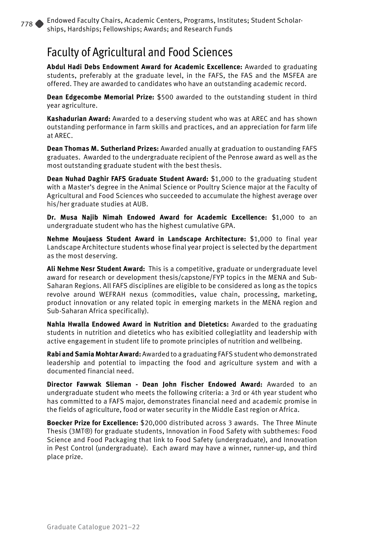#### Faculty of Agricultural and Food Sciences

**Abdul Hadi Debs Endowment Award for Academic Excellence:** Awarded to graduating students, preferably at the graduate level, in the FAFS, the FAS and the MSFEA are offered. They are awarded to candidates who have an outstanding academic record.

**Dean Edgecombe Memorial Prize:** \$500 awarded to the outstanding student in third year agriculture.

**Kashadurian Award:** Awarded to a deserving student who was at AREC and has shown outstanding performance in farm skills and practices, and an appreciation for farm life at AREC.

**Dean Thomas M. Sutherland Prizes:** Awarded anually at graduation to oustanding FAFS graduates. Awarded to the undergraduate recipient of the Penrose award as well as the most outstanding graduate student with the best thesis.

**Dean Nuhad Daghir FAFS Graduate Student Award:** \$1,000 to the graduating student with a Master's degree in the Animal Science or Poultry Science major at the Faculty of Agricultural and Food Sciences who succeeded to accumulate the highest average over his/her graduate studies at AUB.

**Dr. Musa Najib Nimah Endowed Award for Academic Excellence:** \$1,000 to an undergraduate student who has the highest cumulative GPA.

**Nehme Moujaess Student Award in Landscape Architecture:** \$1,000 to final year Landscape Architecture students whose final year project is selected by the department as the most deserving.

**Ali Nehme Nesr Student Award:** This is a competitive, graduate or undergraduate level award for research or development thesis/capstone/FYP topics in the MENA and Sub-Saharan Regions. All FAFS disciplines are eligible to be considered as long as the topics revolve around WEFRAH nexus (commodities, value chain, processing, marketing, product innovation or any related topic in emerging markets in the MENA region and Sub-Saharan Africa specifically).

**Nahla Hwalla Endowed Award in Nutrition and Dietetics:** Awarded to the graduating students in nutrition and dietetics who has exibitied collegiatlity and leadership with active engagement in student life to promote principles of nutrition and wellbeing.

**Rabi and Samia Mohtar Award:** Awarded to a graduating FAFS student who demonstrated leadership and potential to impacting the food and agriculture system and with a documented financial need.

**Director Fawwak Slieman - Dean John Fischer Endowed Award:** Awarded to an undergraduate student who meets the following criteria: a 3rd or 4th year student who has committed to a FAFS major, demonstrates financial need and academic promise in the fields of agriculture, food or water security in the Middle East region or Africa.

**Boecker Prize for Excellence:** \$20,000 distributed across 3 awards. The Three Minute Thesis (3MT®) for graduate students, Innovation in Food Safety with subthemes: Food Science and Food Packaging that link to Food Safety (undergraduate), and Innovation in Pest Control (undergraduate). Each award may have a winner, runner-up, and third place prize.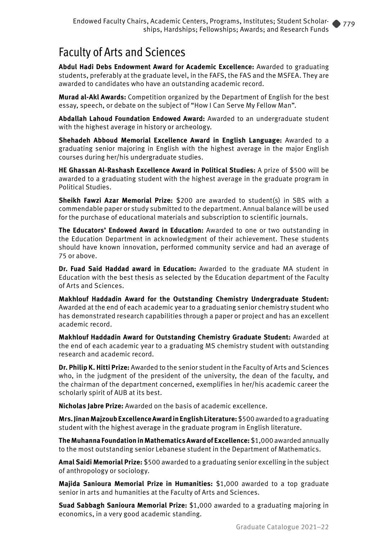#### Faculty of Arts and Sciences

**Abdul Hadi Debs Endowment Award for Academic Excellence:** Awarded to graduating students, preferably at the graduate level, in the FAFS, the FAS and the MSFEA. They are awarded to candidates who have an outstanding academic record.

**Murad al-Akl Awards:** Competition organized by the Department of English for the best essay, speech, or debate on the subject of "How I Can Serve My Fellow Man".

**Abdallah Lahoud Foundation Endowed Award:** Awarded to an undergraduate student with the highest average in history or archeology.

**Shehadeh Abboud Memorial Excellence Award in English Language:** Awarded to a graduating senior majoring in English with the highest average in the major English courses during her/his undergraduate studies.

**HE Ghassan Al-Rashash Excellence Award in Political Studies:** A prize of \$500 will be awarded to a graduating student with the highest average in the graduate program in Political Studies.

**Sheikh Fawzi Azar Memorial Prize:** \$200 are awarded to student(s) in SBS with a commendable paper or study submitted to the department. Annual balance will be used for the purchase of educational materials and subscription to scientific journals.

**The Educators' Endowed Award in Education:** Awarded to one or two outstanding in the Education Department in acknowledgment of their achievement. These students should have known innovation, performed community service and had an average of 75 or above.

**Dr. Fuad Said Haddad award in Education:** Awarded to the graduate MA student in Education with the best thesis as selected by the Education department of the Faculty of Arts and Sciences.

**Makhlouf Haddadin Award for the Outstanding Chemistry Undergraduate Student:** Awarded at the end of each academic year to a graduating senior chemistry student who has demonstrated research capabilities through a paper or project and has an excellent academic record.

**Makhlouf Haddadin Award for Outstanding Chemistry Graduate Student:** Awarded at the end of each academic year to a graduating MS chemistry student with outstanding research and academic record.

**Dr. Philip K. Hitti Prize:** Awarded to the senior student in the Faculty of Arts and Sciences who, in the judgment of the president of the university, the dean of the faculty, and the chairman of the department concerned, exemplifies in her/his academic career the scholarly spirit of AUB at its best.

**Nicholas Jabre Prize:** Awarded on the basis of academic excellence.

**Mrs. Jinan Majzoub Excellence Award in English Literature:** \$500 awarded to a graduating student with the highest average in the graduate program in English literature.

**The Muhanna Foundation in Mathematics Award of Excellence:** \$1,000 awarded annually to the most outstanding senior Lebanese student in the Department of Mathematics.

**Amal Saidi Memorial Prize:** \$500 awarded to a graduating senior excelling in the subject of anthropology or sociology.

**Majida Sanioura Memorial Prize in Humanities:** \$1,000 awarded to a top graduate senior in arts and humanities at the Faculty of Arts and Sciences.

**Suad Sabbagh Sanioura Memorial Prize:** \$1,000 awarded to a graduating majoring in economics, in a very good academic standing.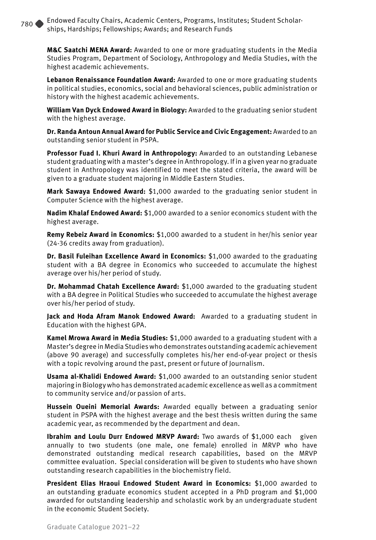**M&C Saatchi MENA Award:** Awarded to one or more graduating students in the Media Studies Program, Department of Sociology, Anthropology and Media Studies, with the highest academic achievements.

**Lebanon Renaissance Foundation Award:** Awarded to one or more graduating students in political studies, economics, social and behavioral sciences, public administration or history with the highest academic achievements.

**William Van Dyck Endowed Award in Biology:** Awarded to the graduating senior student with the highest average.

**Dr. Randa Antoun Annual Award for Public Service and Civic Engagement:** Awarded to an outstanding senior student in PSPA.

**Professor Fuad I. Khuri Award in Anthropology:** Awarded to an outstanding Lebanese student graduating with a master's degree in Anthropology. If in a given year no graduate student in Anthropology was identified to meet the stated criteria, the award will be given to a graduate student majoring in Middle Eastern Studies.

**Mark Sawaya Endowed Award:** \$1,000 awarded to the graduating senior student in Computer Science with the highest average.

**Nadim Khalaf Endowed Award:** \$1,000 awarded to a senior economics student with the highest average.

**Remy Rebeiz Award in Economics:** \$1,000 awarded to a student in her/his senior year (24-36 credits away from graduation).

**Dr. Basil Fuleihan Excellence Award in Economics:** \$1,000 awarded to the graduating student with a BA degree in Economics who succeeded to accumulate the highest average over his/her period of study.

**Dr. Mohammad Chatah Excellence Award:** \$1,000 awarded to the graduating student with a BA degree in Political Studies who succeeded to accumulate the highest average over his/her period of study.

**Jack and Hoda Afram Manok Endowed Award:** Awarded to a graduating student in Education with the highest GPA.

**Kamel Mrowa Award in Media Studies:** \$1,000 awarded to a graduating student with a Master's degree in Media Studies who demonstrates outstanding academic achievement (above 90 average) and successfully completes his/her end-of-year project or thesis with a topic revolving around the past, present or future of Journalism.

**Usama al-Khalidi Endowed Award:** \$1,000 awarded to an outstanding senior student majoring in Biology who has demonstrated academic excellence as well as a commitment to community service and/or passion of arts.

**Hussein Oueini Memorial Awards:** Awarded equally between a graduating senior student in PSPA with the highest average and the best thesis written during the same academic year, as recommended by the department and dean.

**Ibrahim and Loulu Durr Endowed MRVP Award:** Two awards of \$1,000 each given annually to two students (one male, one female) enrolled in MRVP who have demonstrated outstanding medical research capabilities, based on the MRVP committee evaluation. Special consideration will be given to students who have shown outstanding research capabilities in the biochemistry field.

**President Elias Hraoui Endowed Student Award in Economics:** \$1,000 awarded to an outstanding graduate economics student accepted in a PhD program and \$1,000 awarded for outstanding leadership and scholastic work by an undergraduate student in the economic Student Society.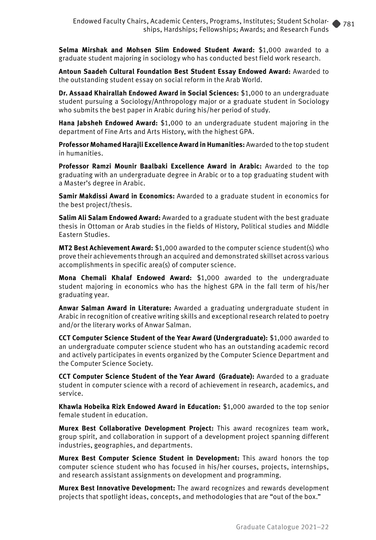**Selma Mirshak and Mohsen Slim Endowed Student Award:** \$1,000 awarded to a graduate student majoring in sociology who has conducted best field work research.

**Antoun Saadeh Cultural Foundation Best Student Essay Endowed Award:** Awarded to the outstanding student essay on social reform in the Arab World.

**Dr. Assaad Khairallah Endowed Award in Social Sciences:** \$1,000 to an undergraduate student pursuing a Sociology/Anthropology major or a graduate student in Sociology who submits the best paper in Arabic during his/her period of study.

**Hana Jabsheh Endowed Award:** \$1,000 to an undergraduate student majoring in the department of Fine Arts and Arts History, with the highest GPA.

**Professor Mohamed Harajli Excellence Award in Humanities:** Awarded to the top student in humanities.

**Professor Ramzi Mounir Baalbaki Excellence Award in Arabic:** Awarded to the top graduating with an undergraduate degree in Arabic or to a top graduating student with a Master's degree in Arabic.

**Samir Makdissi Award in Economics:** Awarded to a graduate student in economics for the best project/thesis.

**Salim Ali Salam Endowed Award:** Awarded to a graduate student with the best graduate thesis in Ottoman or Arab studies in the fields of History, Political studies and Middle Eastern Studies.

**MT2 Best Achievement Award:** \$1,000 awarded to the computer science student(s) who prove their achievements through an acquired and demonstrated skillset across various accomplishments in specific area(s) of computer science.

**Mona Chemali Khalaf Endowed Award:** \$1,000 awarded to the undergraduate student majoring in economics who has the highest GPA in the fall term of his/her graduating year.

**Anwar Salman Award in Literature:** Awarded a graduating undergraduate student in Arabic in recognition of creative writing skills and exceptional research related to poetry and/or the literary works of Anwar Salman.

**CCT Computer Science Student of the Year Award (Undergraduate):** \$1,000 awarded to an undergraduate computer science student who has an outstanding academic record and actively participates in events organized by the Computer Science Department and the Computer Science Society.

**CCT Computer Science Student of the Year Award (Graduate):** Awarded to a graduate student in computer science with a record of achievement in research, academics, and service.

**Khawla Hobeika Rizk Endowed Award in Education:** \$1,000 awarded to the top senior female student in education.

**Murex Best Collaborative Development Project:** This award recognizes team work, group spirit, and collaboration in support of a development project spanning different industries, geographies, and departments.

**Murex Best Computer Science Student in Development:** This award honors the top computer science student who has focused in his/her courses, projects, internships, and research assistant assignments on development and programming.

**Murex Best Innovative Development:** The award recognizes and rewards development projects that spotlight ideas, concepts, and methodologies that are "out of the box."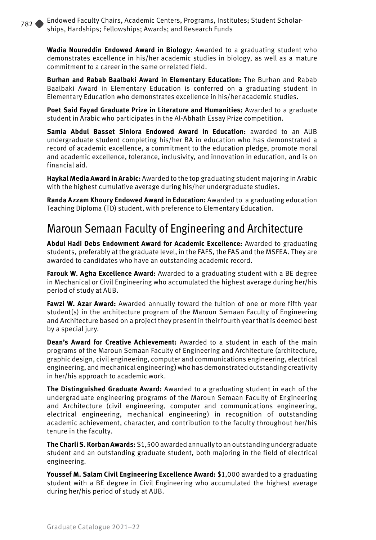**Wadia Noureddin Endowed Award in Biology:** Awarded to a graduating student who demonstrates excellence in his/her academic studies in biology, as well as a mature commitment to a career in the same or related field.

**Burhan and Rabab Baalbaki Award in Elementary Education:** The Burhan and Rabab Baalbaki Award in Elementary Education is conferred on a graduating student in Elementary Education who demonstrates excellence in his/her academic studies.

**Poet Said Fayad Graduate Prize in Literature and Humanities:** Awarded to a graduate student in Arabic who participates in the Al-Abhath Essay Prize competition.

**Samia Abdul Basset Siniora Endowed Award in Education:** awarded to an AUB undergraduate student completing his/her BA in education who has demonstrated a record of academic excellence, a commitment to the education pledge, promote moral and academic excellence, tolerance, inclusivity, and innovation in education, and is on financial aid.

**Haykal Media Award in Arabic:** Awarded to the top graduating student majoring in Arabic with the highest cumulative average during his/her undergraduate studies.

**Randa Azzam Khoury Endowed Award in Education:** Awarded to a graduating education Teaching Diploma (TD) student, with preference to Elementary Education.

#### Maroun Semaan Faculty of Engineering and Architecture

**Abdul Hadi Debs Endowment Award for Academic Excellence:** Awarded to graduating students, preferably at the graduate level, in the FAFS, the FAS and the MSFEA. They are awarded to candidates who have an outstanding academic record.

**Farouk W. Agha Excellence Award:** Awarded to a graduating student with a BE degree in Mechanical or Civil Engineering who accumulated the highest average during her/his period of study at AUB.

**Fawzi W. Azar Award:** Awarded annually toward the tuition of one or more fifth year student(s) in the architecture program of the Maroun Semaan Faculty of Engineering and Architecture based on a project they present in their fourth year that is deemed best by a special jury.

**Dean's Award for Creative Achievement:** Awarded to a student in each of the main programs of the Maroun Semaan Faculty of Engineering and Architecture (architecture, graphic design, civil engineering, computer and communications engineering, electrical engineering, and mechanical engineering) who has demonstrated outstanding creativity in her/his approach to academic work.

**The Distinguished Graduate Award:** Awarded to a graduating student in each of the undergraduate engineering programs of the Maroun Semaan Faculty of Engineering and Architecture (civil engineering, computer and communications engineering, electrical engineering, mechanical engineering) in recognition of outstanding academic achievement, character, and contribution to the faculty throughout her/his tenure in the faculty.

**The Charli S. Korban Awards:** \$1,500 awarded annually to an outstanding undergraduate student and an outstanding graduate student, both majoring in the field of electrical engineering.

**Youssef M. Salam Civil Engineering Excellence Award:** \$1,000 awarded to a graduating student with a BE degree in Civil Engineering who accumulated the highest average during her/his period of study at AUB.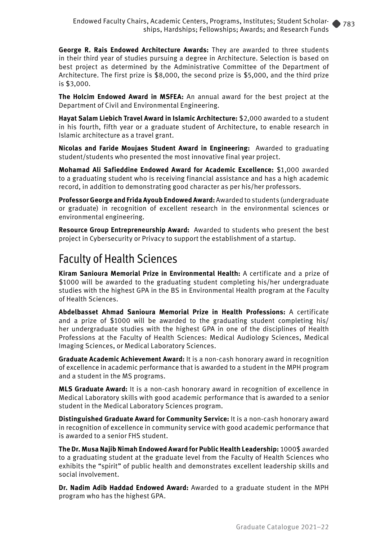**George R. Rais Endowed Architecture Awards:** They are awarded to three students in their third year of studies pursuing a degree in Architecture. Selection is based on best project as determined by the Administrative Committee of the Department of Architecture. The first prize is \$8,000, the second prize is \$5,000, and the third prize is \$3,000.

**The Holcim Endowed Award in MSFEA:** An annual award for the best project at the Department of Civil and Environmental Engineering.

**Hayat Salam Liebich Travel Award in Islamic Architecture:** \$2,000 awarded to a student in his fourth, fifth year or a graduate student of Architecture, to enable research in Islamic architecture as a travel grant.

**Nicolas and Faride Moujaes Student Award in Engineering:** Awarded to graduating student/students who presented the most innovative final year project.

**Mohamad Ali Safieddine Endowed Award for Academic Excellence:** \$1,000 awarded to a graduating student who is receiving financial assistance and has a high academic record, in addition to demonstrating good character as per his/her professors.

**Professor George and Frida Ayoub Endowed Award:** Awarded to students (undergraduate or graduate) in recognition of excellent research in the environmental sciences or environmental engineering.

**Resource Group Entrepreneurship Award:** Awarded to students who present the best project in Cybersecurity or Privacy to support the establishment of a startup.

#### Faculty of Health Sciences

**Kiram Sanioura Memorial Prize in Environmental Health:** A certificate and a prize of \$1000 will be awarded to the graduating student completing his/her undergraduate studies with the highest GPA in the BS in Environmental Health program at the Faculty of Health Sciences.

**Abdelbasset Ahmad Sanioura Memorial Prize in Health Professions:** A certificate and a prize of \$1000 will be awarded to the graduating student completing his/ her undergraduate studies with the highest GPA in one of the disciplines of Health Professions at the Faculty of Health Sciences: Medical Audiology Sciences, Medical Imaging Sciences, or Medical Laboratory Sciences.

**Graduate Academic Achievement Award:** It is a non-cash honorary award in recognition of excellence in academic performance that is awarded to a student in the MPH program and a student in the MS programs.

**MLS Graduate Award:** It is a non-cash honorary award in recognition of excellence in Medical Laboratory skills with good academic performance that is awarded to a senior student in the Medical Laboratory Sciences program.

**Distinguished Graduate Award for Community Service:** It is a non-cash honorary award in recognition of excellence in community service with good academic performance that is awarded to a senior FHS student.

**The Dr. Musa Najib Nimah Endowed Award for Public Health Leadership:** 1000\$ awarded to a graduating student at the graduate level from the Faculty of Health Sciences who exhibits the "spirit" of public health and demonstrates excellent leadership skills and social involvement.

**Dr. Nadim Adib Haddad Endowed Award:** Awarded to a graduate student in the MPH program who has the highest GPA.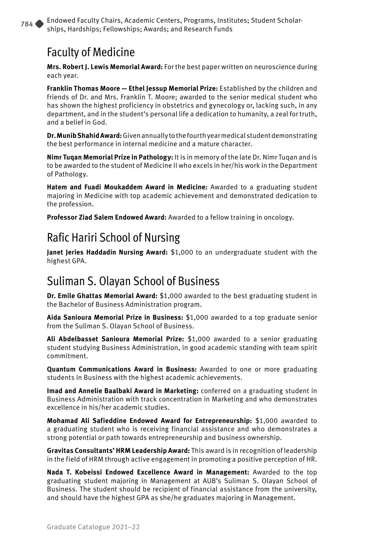#### Faculty of Medicine

**Mrs. Robert J. Lewis Memorial Award:** For the best paper written on neuroscience during each year.

**Franklin Thomas Moore — Ethel Jessup Memorial Prize:** Established by the children and friends of Dr. and Mrs. Franklin T. Moore; awarded to the senior medical student who has shown the highest proficiency in obstetrics and gynecology or, lacking such, in any department, and in the student's personal life a dedication to humanity, a zeal for truth, and a belief in God.

**Dr. Munib Shahid Award:** Given annually to the fourth year medical student demonstrating the best performance in internal medicine and a mature character.

**Nimr Tuqan Memorial Prize in Pathology:** It is in memory of the late Dr. Nimr Tuqan and is to be awarded to the student of Medicine II who excels in her/his work in the Department of Pathology.

**Hatem and Fuadi Moukaddem Award in Medicine:** Awarded to a graduating student majoring in Medicine with top academic achievement and demonstrated dedication to the profession.

**Professor Ziad Salem Endowed Award:** Awarded to a fellow training in oncology.

#### Rafic Hariri School of Nursing

**Janet Jeries Haddadin Nursing Award:** \$1,000 to an undergraduate student with the highest GPA.

#### Suliman S. Olayan School of Business

**Dr. Emile Ghattas Memorial Award:** \$1,000 awarded to the best graduating student in the Bachelor of Business Administration program.

**Aida Sanioura Memorial Prize in Business:** \$1,000 awarded to a top graduate senior from the Suliman S. Olayan School of Business.

**Ali Abdelbasset Sanioura Memorial Prize:** \$1,000 awarded to a senior graduating student studying Business Administration, in good academic standing with team spirit commitment.

**Quantum Communications Award in Business:** Awarded to one or more graduating students in Business with the highest academic achievements.

**Imad and Annelie Baalbaki Award in Marketing:** conferred on a graduating student in Business Administration with track concentration in Marketing and who demonstrates excellence in his/her academic studies.

**Mohamad Ali Safieddine Endowed Award for Entrepreneurship:** \$1,000 awarded to a graduating student who is receiving financial assistance and who demonstrates a strong potential or path towards entrepreneurship and business ownership.

**Gravitas Consultants' HRM Leadership Award:** This award is in recognition of leadership in the field of HRM through active engagement in promoting a positive perception of HR.

**Nada T. Kobeissi Endowed Excellence Award in Management:** Awarded to the top graduating student majoring in Management at AUB's Suliman S. Olayan School of Business. The student should be recipient of financial assistance from the university, and should have the highest GPA as she/he graduates majoring in Management.